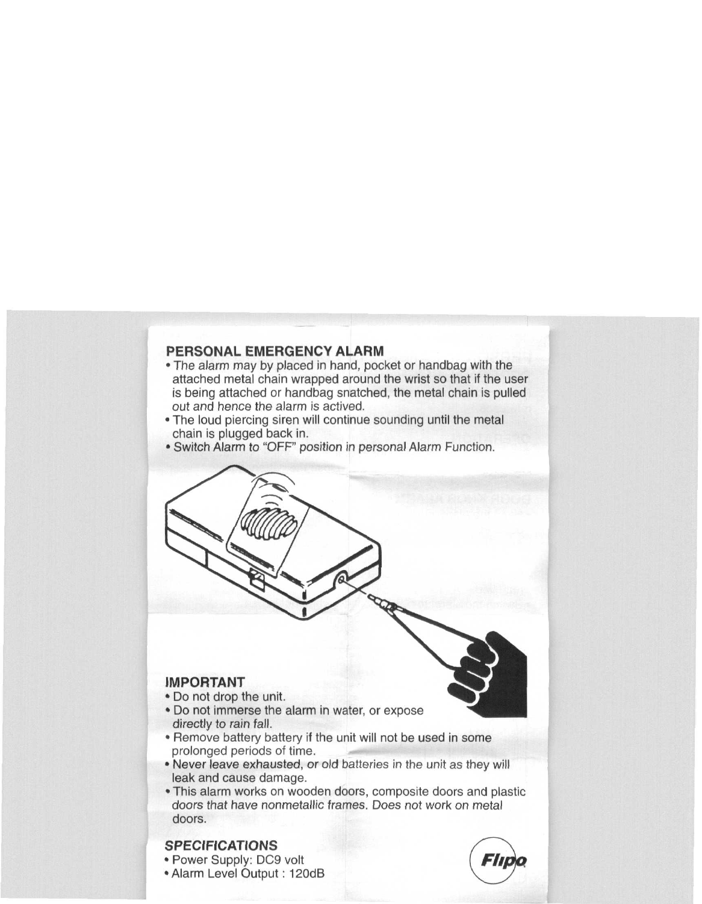## **PERSONAL EMERGENCY ALARM**

- The alarm may by placed in hand, pocket or handbag with the attached metal chain wrapped around the wrist so that if the user is being attached or handbag snatched, the metal chain is pulled out and hence the alarm is actived.
- The loud piercing siren will continue sounding until the metal chain is plugged back in.
- Switch Alarm to "OFF" position in personal Alarm Function.

# $\sum$  $M$ PORTANT  $\bigcup_{n=1}^{\infty}$ • Do not drop the unit. • Do not immerse the alarm in water, or expose directly to rain fall. • Remove battery battery if the unit will not be used in some prolonged periods of time. • Never leave exhausted, or old batteries in the unit as they will leak and cause damage. • This alarm works on wooden doors, composite doors and plastic doors that have nonmetallic frames. Does not work on metal doors.

### **SPECIFICATIONS**

- Power Supply: DC9 volt
- Alarm Level Output : 120dB